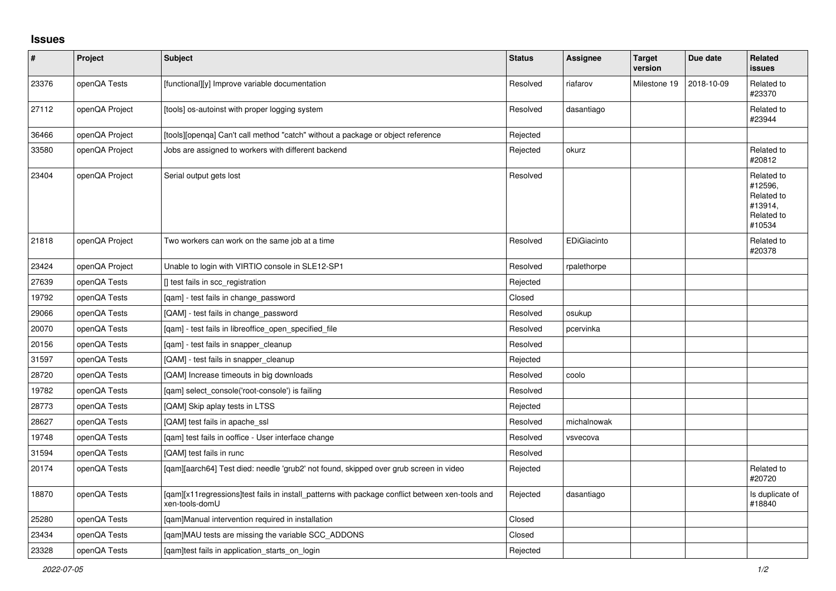## **Issues**

| $\vert$ # | Project        | <b>Subject</b>                                                                                                    | <b>Status</b> | Assignee    | <b>Target</b><br>version | Due date   | <b>Related</b><br><b>issues</b>                                        |
|-----------|----------------|-------------------------------------------------------------------------------------------------------------------|---------------|-------------|--------------------------|------------|------------------------------------------------------------------------|
| 23376     | openQA Tests   | [functional][y] Improve variable documentation                                                                    | Resolved      | riafarov    | Milestone 19             | 2018-10-09 | Related to<br>#23370                                                   |
| 27112     | openQA Project | [tools] os-autoinst with proper logging system                                                                    | Resolved      | dasantiago  |                          |            | Related to<br>#23944                                                   |
| 36466     | openQA Project | [tools][openga] Can't call method "catch" without a package or object reference                                   | Rejected      |             |                          |            |                                                                        |
| 33580     | openQA Project | Jobs are assigned to workers with different backend                                                               | Rejected      | okurz       |                          |            | Related to<br>#20812                                                   |
| 23404     | openQA Project | Serial output gets lost                                                                                           | Resolved      |             |                          |            | Related to<br>#12596,<br>Related to<br>#13914,<br>Related to<br>#10534 |
| 21818     | openQA Project | Two workers can work on the same job at a time                                                                    | Resolved      | EDiGiacinto |                          |            | Related to<br>#20378                                                   |
| 23424     | openQA Project | Unable to login with VIRTIO console in SLE12-SP1                                                                  | Resolved      | rpalethorpe |                          |            |                                                                        |
| 27639     | openQA Tests   | [] test fails in scc_registration                                                                                 | Rejected      |             |                          |            |                                                                        |
| 19792     | openQA Tests   | [qam] - test fails in change_password                                                                             | Closed        |             |                          |            |                                                                        |
| 29066     | openQA Tests   | [QAM] - test fails in change_password                                                                             | Resolved      | osukup      |                          |            |                                                                        |
| 20070     | openQA Tests   | [qam] - test fails in libreoffice_open_specified_file                                                             | Resolved      | pcervinka   |                          |            |                                                                        |
| 20156     | openQA Tests   | [qam] - test fails in snapper_cleanup                                                                             | Resolved      |             |                          |            |                                                                        |
| 31597     | openQA Tests   | [QAM] - test fails in snapper cleanup                                                                             | Rejected      |             |                          |            |                                                                        |
| 28720     | openQA Tests   | QAM] Increase timeouts in big downloads                                                                           | Resolved      | coolo       |                          |            |                                                                        |
| 19782     | openQA Tests   | [gam] select console('root-console') is failing                                                                   | Resolved      |             |                          |            |                                                                        |
| 28773     | openQA Tests   | [QAM] Skip aplay tests in LTSS                                                                                    | Rejected      |             |                          |            |                                                                        |
| 28627     | openQA Tests   | [QAM] test fails in apache ssl                                                                                    | Resolved      | michalnowak |                          |            |                                                                        |
| 19748     | openQA Tests   | [qam] test fails in ooffice - User interface change                                                               | Resolved      | vsvecova    |                          |            |                                                                        |
| 31594     | openQA Tests   | [QAM] test fails in runc                                                                                          | Resolved      |             |                          |            |                                                                        |
| 20174     | openQA Tests   | [gam][aarch64] Test died: needle 'grub2' not found, skipped over grub screen in video                             | Rejected      |             |                          |            | Related to<br>#20720                                                   |
| 18870     | openQA Tests   | [gam][x11regressions]test fails in install patterns with package conflict between xen-tools and<br>xen-tools-domU | Rejected      | dasantiago  |                          |            | Is duplicate of<br>#18840                                              |
| 25280     | openQA Tests   | [gam]Manual intervention required in installation                                                                 | Closed        |             |                          |            |                                                                        |
| 23434     | openQA Tests   | [qam]MAU tests are missing the variable SCC_ADDONS                                                                | Closed        |             |                          |            |                                                                        |
| 23328     | openQA Tests   | [gam]test fails in application starts on login                                                                    | Rejected      |             |                          |            |                                                                        |